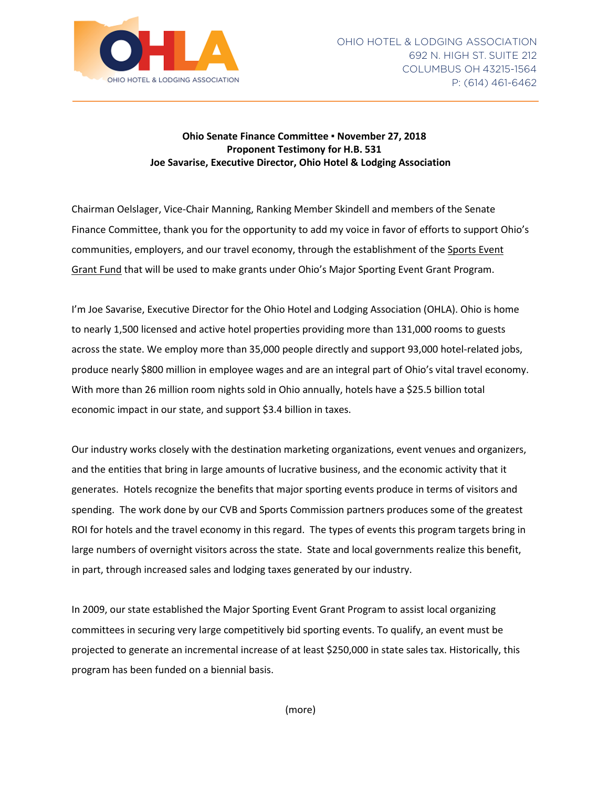

## **Ohio Senate Finance Committee ▪ November 27, 2018 Proponent Testimony for H.B. 531 Joe Savarise, Executive Director, Ohio Hotel & Lodging Association**

Chairman Oelslager, Vice-Chair Manning, Ranking Member Skindell and members of the Senate Finance Committee, thank you for the opportunity to add my voice in favor of efforts to support Ohio's communities, employers, and our travel economy, through the establishment of the Sports Event Grant Fund that will be used to make grants under Ohio's Major Sporting Event Grant Program.

I'm Joe Savarise, Executive Director for the Ohio Hotel and Lodging Association (OHLA). Ohio is home to nearly 1,500 licensed and active hotel properties providing more than 131,000 rooms to guests across the state. We employ more than 35,000 people directly and support 93,000 hotel-related jobs, produce nearly \$800 million in employee wages and are an integral part of Ohio's vital travel economy. With more than 26 million room nights sold in Ohio annually, hotels have a \$25.5 billion total economic impact in our state, and support \$3.4 billion in taxes.

Our industry works closely with the destination marketing organizations, event venues and organizers, and the entities that bring in large amounts of lucrative business, and the economic activity that it generates. Hotels recognize the benefits that major sporting events produce in terms of visitors and spending. The work done by our CVB and Sports Commission partners produces some of the greatest ROI for hotels and the travel economy in this regard. The types of events this program targets bring in large numbers of overnight visitors across the state. State and local governments realize this benefit, in part, through increased sales and lodging taxes generated by our industry.

In 2009, our state established the Major Sporting Event Grant Program to assist local organizing committees in securing very large competitively bid sporting events. To qualify, an event must be projected to generate an incremental increase of at least \$250,000 in state sales tax. Historically, this program has been funded on a biennial basis.

(more)